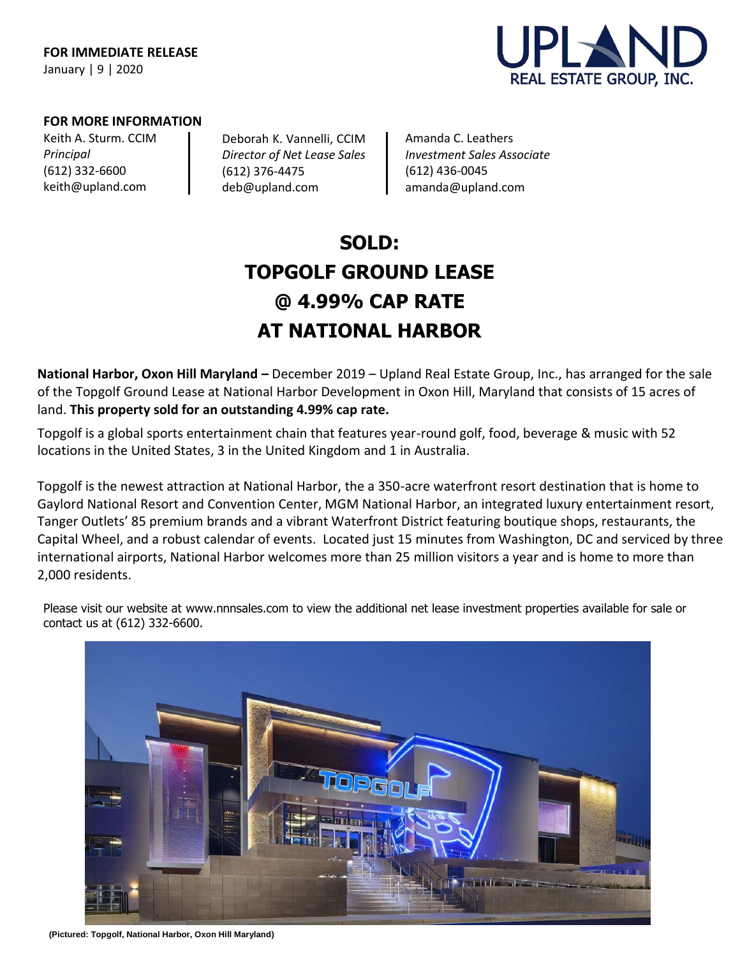

# **FOR MORE INFORMATION**

Keith A. Sturm. CCIM *Principal* (612) 332-6600 [keith@upland.com](mailto:keith@upland.com)

Deborah K. Vannelli, CCIM *Director of Net Lease Sales*  (612) 376-4475 [deb@upland.com](mailto:deb@upland.com)

Amanda C. Leathers *Investment Sales Associate*  (612) 436-0045 [amanda@upland.com](mailto:amanda@upland.com)

# **SOLD: TOPGOLF GROUND LEASE @ 4.99% CAP RATE AT NATIONAL HARBOR**

**National Harbor, Oxon Hill Maryland –** December 2019 – Upland Real Estate Group, Inc., has arranged for the sale of the Topgolf Ground Lease at National Harbor Development in Oxon Hill, Maryland that consists of 15 acres of land. **This property sold for an outstanding 4.99% cap rate.**

Topgolf is a global sports entertainment chain that features year-round golf, food, beverage & music with 52 locations in the United States, 3 in the United Kingdom and 1 in Australia.

Topgolf is the newest attraction at National Harbor, the a 350-acre waterfront resort destination that is home to Gaylord National Resort and Convention Center, MGM National Harbor, an integrated luxury entertainment resort, Tanger Outlets' 85 premium brands and a vibrant Waterfront District featuring boutique shops, restaurants, the Capital Wheel, and a robust calendar of events. Located just 15 minutes from Washington, DC and serviced by three international airports, National Harbor welcomes more than 25 million visitors a year and is home to more than 2,000 residents.

Please visit our website at [www.nnnsales.com](http://www.nnnsales.com/) to view the additional net lease investment properties available for sale or contact us at (612) 332-6600.



 **(Pictured: Topgolf, National Harbor, Oxon Hill Maryland)**